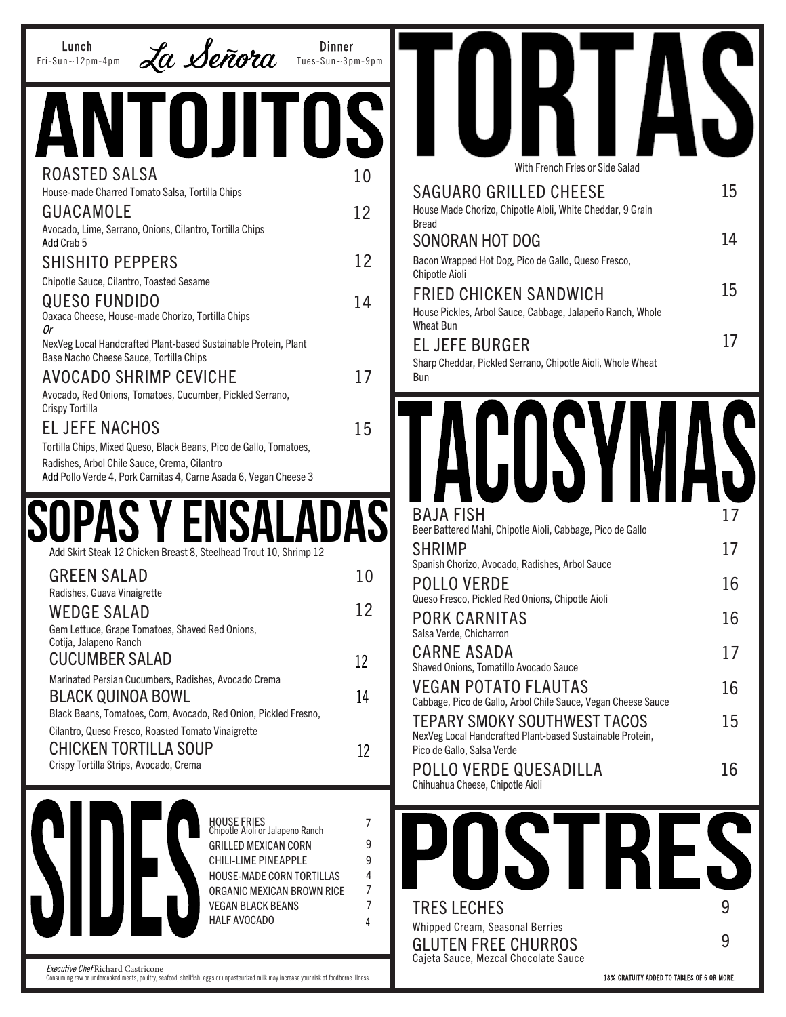| <b>Dinner</b><br>Lunch<br>La Señora<br>Tues-Sun~3pm-9pm<br>$Fri-Sun-12pm-4pm$                                                                                                |        |                                                                                                  |    |
|------------------------------------------------------------------------------------------------------------------------------------------------------------------------------|--------|--------------------------------------------------------------------------------------------------|----|
| I OJITOSI                                                                                                                                                                    |        |                                                                                                  |    |
| ROASTED SALSA                                                                                                                                                                | 10     | With French Fries or Side Salad                                                                  |    |
| House-made Charred Tomato Salsa, Tortilla Chips                                                                                                                              |        | <b>SAGUARO GRILLED CHEESE</b>                                                                    | 15 |
| <b>GUACAMOLE</b>                                                                                                                                                             | 12     | House Made Chorizo, Chipotle Aioli, White Cheddar, 9 Grain<br><b>Bread</b>                       |    |
| Avocado, Lime, Serrano, Onions, Cilantro, Tortilla Chips<br>Add Crab 5                                                                                                       |        | <b>SONORAN HOT DOG</b>                                                                           | 14 |
| <b>SHISHITO PEPPERS</b>                                                                                                                                                      | 12     | Bacon Wrapped Hot Dog, Pico de Gallo, Queso Fresco,                                              |    |
| Chipotle Sauce, Cilantro, Toasted Sesame                                                                                                                                     |        | Chipotle Aioli                                                                                   |    |
| <b>QUESO FUNDIDO</b>                                                                                                                                                         | 14     | <b>FRIED CHICKEN SANDWICH</b>                                                                    | 15 |
| Oaxaca Cheese, House-made Chorizo, Tortilla Chips                                                                                                                            |        | House Pickles, Arbol Sauce, Cabbage, Jalapeño Ranch, Whole<br><b>Wheat Bun</b>                   |    |
| 0r<br>NexVeg Local Handcrafted Plant-based Sustainable Protein, Plant                                                                                                        |        | <b>EL JEFE BURGER</b>                                                                            | 17 |
| Base Nacho Cheese Sauce, Tortilla Chips                                                                                                                                      |        | Sharp Cheddar, Pickled Serrano, Chipotle Aioli, Whole Wheat                                      |    |
| <b>AVOCADO SHRIMP CEVICHE</b>                                                                                                                                                | 17     | <b>Bun</b>                                                                                       |    |
| Avocado, Red Onions, Tomatoes, Cucumber, Pickled Serrano,<br>Crispy Tortilla                                                                                                 |        |                                                                                                  |    |
| <b>EL JEFE NACHOS</b>                                                                                                                                                        | 15     |                                                                                                  |    |
| Tortilla Chips, Mixed Queso, Black Beans, Pico de Gallo, Tomatoes,                                                                                                           |        |                                                                                                  |    |
| Radishes, Arbol Chile Sauce, Crema, Cilantro                                                                                                                                 |        |                                                                                                  |    |
| Add Pollo Verde 4, Pork Carnitas 4, Carne Asada 6, Vegan Cheese 3                                                                                                            |        |                                                                                                  |    |
|                                                                                                                                                                              |        | <b>BAJA FISH</b>                                                                                 | 17 |
| PAS Y ENS                                                                                                                                                                    | DASI   | Beer Battered Mahi, Chipotle Aioli, Cabbage, Pico de Gallo                                       |    |
| Add Skirt Steak 12 Chicken Breast 8, Steelhead Trout 10, Shrimp 12                                                                                                           |        | <b>SHRIMP</b>                                                                                    | 17 |
| <b>GREEN SALAD</b>                                                                                                                                                           |        | Spanish Chorizo, Avocado, Radishes, Arbol Sauce                                                  |    |
| Radishes, Guava Vinaigrette                                                                                                                                                  | 10     | <b>POLLO VERDE</b>                                                                               | 16 |
| <b>WEDGE SALAD</b>                                                                                                                                                           | 12     | Queso Fresco, Pickled Red Onions, Chipotle Aioli                                                 |    |
| Gem Lettuce, Grape Tomatoes, Shaved Red Onions,                                                                                                                              |        | <b>PORK CARNITAS</b><br>Salsa Verde, Chicharron                                                  | 16 |
| Cotija, Jalapeno Ranch                                                                                                                                                       |        | <b>CARNE ASADA</b>                                                                               | 17 |
| <b>CUCUMBER SALAD</b>                                                                                                                                                        | 12     | Shaved Onions, Tomatillo Avocado Sauce                                                           |    |
| Marinated Persian Cucumbers, Radishes, Avocado Crema<br><b>BLACK QUINOA BOWL</b>                                                                                             | 14     | <b>VEGAN POTATO FLAUTAS</b>                                                                      | 16 |
| Black Beans, Tomatoes, Corn, Avocado, Red Onion, Pickled Fresno,                                                                                                             |        | Cabbage, Pico de Gallo, Arbol Chile Sauce, Vegan Cheese Sauce                                    |    |
| Cilantro, Queso Fresco, Roasted Tomato Vinaigrette                                                                                                                           |        | <b>TEPARY SMOKY SOUTHWEST TACOS</b><br>NexVeg Local Handcrafted Plant-based Sustainable Protein, | 15 |
| <b>CHICKEN TORTILLA SOUP</b>                                                                                                                                                 | 12     | Pico de Gallo, Salsa Verde                                                                       |    |
| Crispy Tortilla Strips, Avocado, Crema                                                                                                                                       |        | POLLO VERDE QUESADILLA                                                                           | 16 |
|                                                                                                                                                                              |        | Chihuahua Cheese, Chipotle Aioli                                                                 |    |
|                                                                                                                                                                              |        |                                                                                                  |    |
| HOUSE FRIES<br>Chipotle Aioli or Jalapeno Ranch                                                                                                                              | 7      |                                                                                                  |    |
| <b>GRILLED MEXICAN CORN</b><br>CHILI-LIME PINEAPPLE                                                                                                                          | 9<br>9 | I KI                                                                                             |    |
| HOUSE-MADE CORN TORTILLAS                                                                                                                                                    | 4      |                                                                                                  |    |
| ORGANIC MEXICAN BROWN RICE                                                                                                                                                   | 7      |                                                                                                  |    |
| <b>VEGAN BLACK BEANS</b><br><b>HALF AVOCADO</b>                                                                                                                              | 7      | <b>TRES LECHES</b>                                                                               | 9  |
|                                                                                                                                                                              |        | Whipped Cream, Seasonal Berries                                                                  | 9  |
|                                                                                                                                                                              |        | <b>GLUTEN FREE CHURROS</b><br>Cajeta Sauce, Mezcal Chocolate Sauce                               |    |
| Executive Chef Richard Castricone<br>Consuming raw or undercooked meats, poultry, seafood, shellfish, eggs or unpasteurized milk may increase your risk of foodborne illness |        | 18% GRATUITY ADDED TO TABLES OF 6 OR MORE.                                                       |    |

Ш

18% GRATUITY ADDED TO TABLES OF 6 OR MORE.